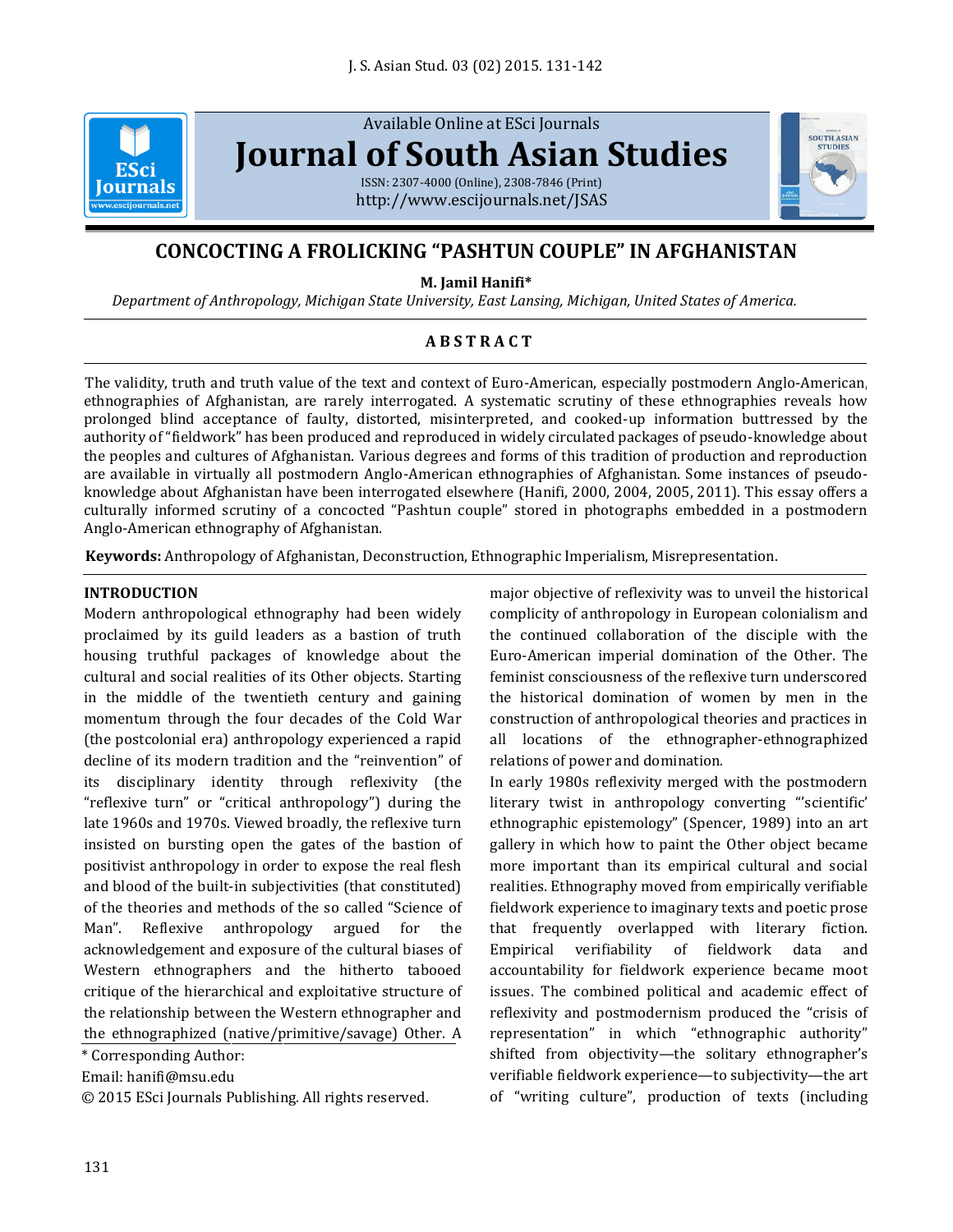

Available Online at ESci Journals **[Journal of South Asian Studies](http://www.escijournals.net/JSAS)** ISSN: 2307-4000 (Online), 2308-7846 (Print) <http://www.escijournals.net/JSAS>



# **CONCOCTING A FROLICKING "PASHTUN COUPLE" IN AFGHANISTAN**

**M. Jamil Hanifi\***

*Department of Anthropology, Michigan State University, East Lansing, Michigan, United States of America.*

### **A B S T R A C T**

The validity, truth and truth value of the text and context of Euro-American, especially postmodern Anglo-American, ethnographies of Afghanistan, are rarely interrogated. A systematic scrutiny of these ethnographies reveals how prolonged blind acceptance of faulty, distorted, misinterpreted, and cooked-up information buttressed by the authority of "fieldwork" has been produced and reproduced in widely circulated packages of pseudo-knowledge about the peoples and cultures of Afghanistan. Various degrees and forms of this tradition of production and reproduction are available in virtually all postmodern Anglo-American ethnographies of Afghanistan. Some instances of pseudoknowledge about Afghanistan have been interrogated elsewhere (Hanifi, 2000, 2004, 2005, 2011). This essay offers a culturally informed scrutiny of a concocted "Pashtun couple" stored in photographs embedded in a postmodern Anglo-American ethnography of Afghanistan.

**Keywords:** Anthropology of Afghanistan, Deconstruction, Ethnographic Imperialism, Misrepresentation.

#### **INTRODUCTION**

Modern anthropological ethnography had been widely proclaimed by its guild leaders as a bastion of truth housing truthful packages of knowledge about the cultural and social realities of its Other objects. Starting in the middle of the twentieth century and gaining momentum through the four decades of the Cold War (the postcolonial era) anthropology experienced a rapid decline of its modern tradition and the "reinvention" of its disciplinary identity through reflexivity (the "reflexive turn" or "critical anthropology") during the late 1960s and 1970s. Viewed broadly, the reflexive turn insisted on bursting open the gates of the bastion of positivist anthropology in order to expose the real flesh and blood of the built-in subjectivities (that constituted) of the theories and methods of the so called "Science of Man". Reflexive anthropology argued for the acknowledgement and exposure of the cultural biases of Western ethnographers and the hitherto tabooed critique of the hierarchical and exploitative structure of the relationship between the Western ethnographer and the ethnographized (native/primitive/savage) Other. A

\* Corresponding Author:

Email: hanifi@msu.edu

© 2015 ESci Journals Publishing. All rights reserved.

major objective of reflexivity was to unveil the historical complicity of anthropology in European colonialism and the continued collaboration of the disciple with the Euro-American imperial domination of the Other. The feminist consciousness of the reflexive turn underscored the historical domination of women by men in the construction of anthropological theories and practices in all locations of the ethnographer-ethnographized relations of power and domination.

In early 1980s reflexivity merged with the postmodern literary twist in anthropology converting "'scientific' ethnographic epistemology" (Spencer, 1989) into an art gallery in which how to paint the Other object became more important than its empirical cultural and social realities. Ethnography moved from empirically verifiable fieldwork experience to imaginary texts and poetic prose that frequently overlapped with literary fiction. Empirical verifiability of fieldwork data and accountability for fieldwork experience became moot issues. The combined political and academic effect of reflexivity and postmodernism produced the "crisis of representation" in which "ethnographic authority" shifted from objectivity—the solitary ethnographer's verifiable fieldwork experience—to subjectivity—the art of "writing culture", production of texts (including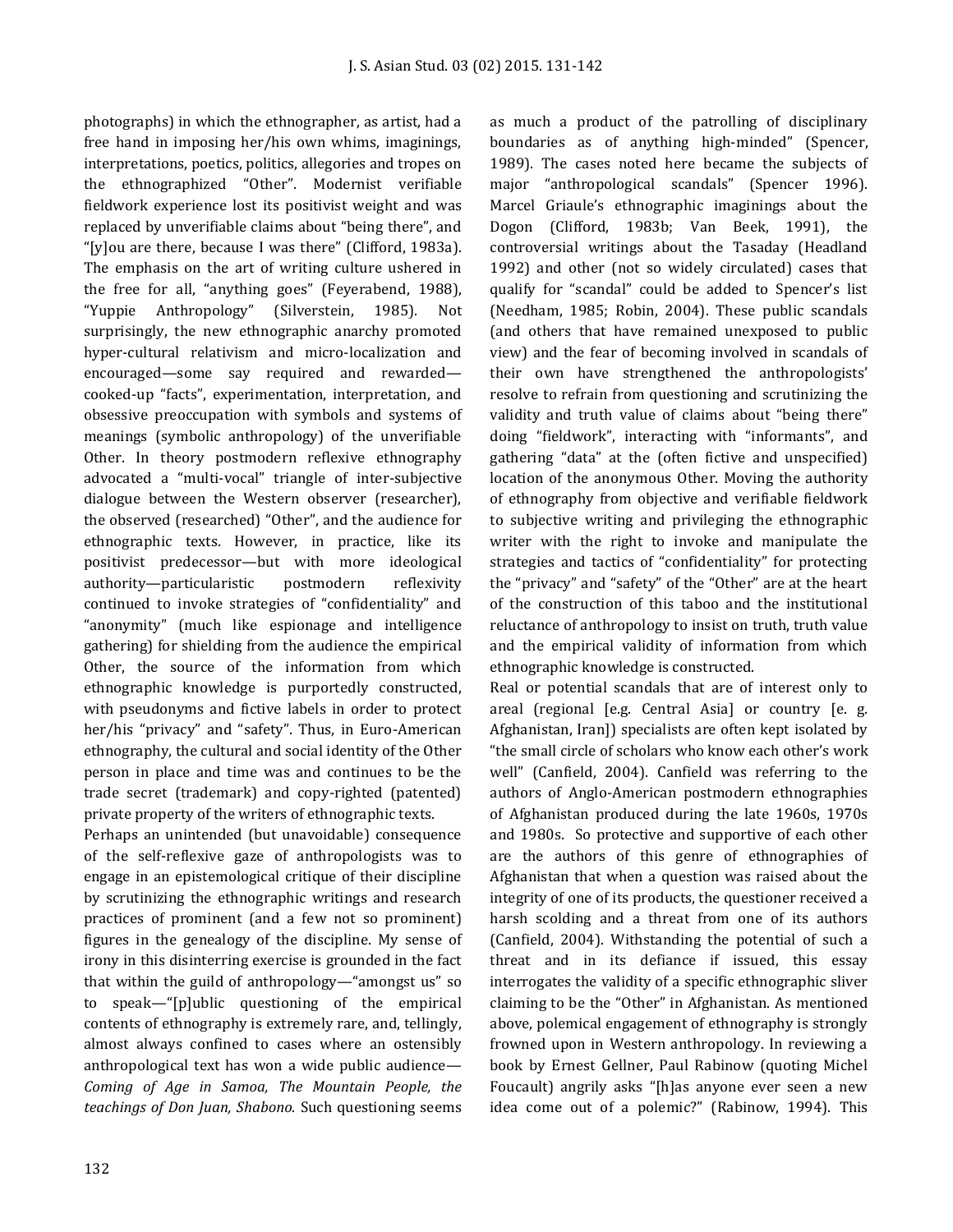photographs) in which the ethnographer, as artist, had a free hand in imposing her/his own whims, imaginings, interpretations, poetics, politics, allegories and tropes on the ethnographized "Other". Modernist verifiable fieldwork experience lost its positivist weight and was replaced by unverifiable claims about "being there", and "[y]ou are there, because I was there" (Clifford, 1983a). The emphasis on the art of writing culture ushered in the free for all, "anything goes" (Feyerabend, 1988), "Yuppie Anthropology" (Silverstein, 1985). Not surprisingly, the new ethnographic anarchy promoted hyper-cultural relativism and micro-localization and encouraged—some say required and rewarded cooked-up "facts", experimentation, interpretation, and obsessive preoccupation with symbols and systems of meanings (symbolic anthropology) of the unverifiable Other. In theory postmodern reflexive ethnography advocated a "multi-vocal" triangle of inter-subjective dialogue between the Western observer (researcher), the observed (researched) "Other", and the audience for ethnographic texts. However, in practice, like its positivist predecessor—but with more ideological authority—particularistic postmodern reflexivity continued to invoke strategies of "confidentiality" and "anonymity" (much like espionage and intelligence gathering) for shielding from the audience the empirical Other, the source of the information from which ethnographic knowledge is purportedly constructed, with pseudonyms and fictive labels in order to protect her/his "privacy" and "safety". Thus, in Euro-American ethnography, the cultural and social identity of the Other person in place and time was and continues to be the trade secret (trademark) and copy-righted (patented) private property of the writers of ethnographic texts.

Perhaps an unintended (but unavoidable) consequence of the self-reflexive gaze of anthropologists was to engage in an epistemological critique of their discipline by scrutinizing the ethnographic writings and research practices of prominent (and a few not so prominent) figures in the genealogy of the discipline. My sense of irony in this disinterring exercise is grounded in the fact that within the guild of anthropology—"amongst us" so to speak—"[p]ublic questioning of the empirical contents of ethnography is extremely rare, and, tellingly, almost always confined to cases where an ostensibly anthropological text has won a wide public audience— *Coming of Age in Samoa, The Mountain People, the teachings of Don Juan, Shabono.* Such questioning seems as much a product of the patrolling of disciplinary boundaries as of anything high-minded" (Spencer, 1989). The cases noted here became the subjects of major "anthropological scandals" (Spencer 1996). Marcel Griaule's ethnographic imaginings about the Dogon (Clifford, 1983b; Van Beek, 1991), the controversial writings about the Tasaday (Headland 1992) and other (not so widely circulated) cases that qualify for "scandal" could be added to Spencer's list (Needham, 1985; Robin, 2004). These public scandals (and others that have remained unexposed to public view) and the fear of becoming involved in scandals of their own have strengthened the anthropologists' resolve to refrain from questioning and scrutinizing the validity and truth value of claims about "being there" doing "fieldwork", interacting with "informants", and gathering "data" at the (often fictive and unspecified) location of the anonymous Other. Moving the authority of ethnography from objective and verifiable fieldwork to subjective writing and privileging the ethnographic writer with the right to invoke and manipulate the strategies and tactics of "confidentiality" for protecting the "privacy" and "safety" of the "Other" are at the heart of the construction of this taboo and the institutional reluctance of anthropology to insist on truth, truth value and the empirical validity of information from which ethnographic knowledge is constructed.

Real or potential scandals that are of interest only to areal (regional [e.g. Central Asia] or country [e. g. Afghanistan, Iran]) specialists are often kept isolated by "the small circle of scholars who know each other's work well" (Canfield, 2004). Canfield was referring to the authors of Anglo-American postmodern ethnographies of Afghanistan produced during the late 1960s, 1970s and 1980s. So protective and supportive of each other are the authors of this genre of ethnographies of Afghanistan that when a question was raised about the integrity of one of its products, the questioner received a harsh scolding and a threat from one of its authors (Canfield, 2004). Withstanding the potential of such a threat and in its defiance if issued, this essay interrogates the validity of a specific ethnographic sliver claiming to be the "Other" in Afghanistan. As mentioned above, polemical engagement of ethnography is strongly frowned upon in Western anthropology. In reviewing a book by Ernest Gellner, Paul Rabinow (quoting Michel Foucault) angrily asks "[h]as anyone ever seen a new idea come out of a polemic?" (Rabinow, 1994). This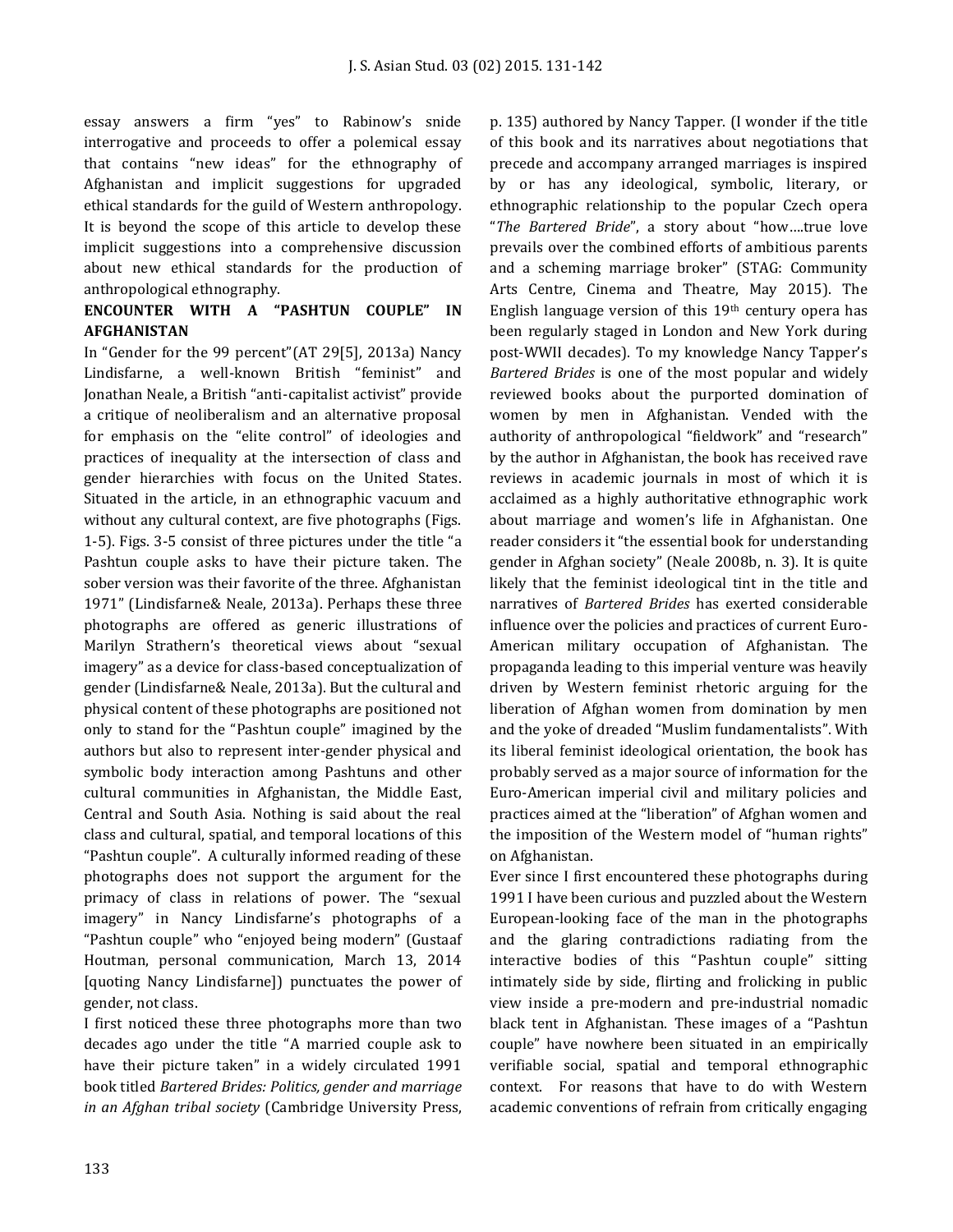essay answers a firm "yes" to Rabinow's snide interrogative and proceeds to offer a polemical essay that contains "new ideas" for the ethnography of Afghanistan and implicit suggestions for upgraded ethical standards for the guild of Western anthropology. It is beyond the scope of this article to develop these implicit suggestions into a comprehensive discussion about new ethical standards for the production of anthropological ethnography.

# **ENCOUNTER WITH A "PASHTUN COUPLE" IN AFGHANISTAN**

In "Gender for the 99 percent"(AT 29[5], 2013a) Nancy Lindisfarne, a well-known British "feminist" and Jonathan Neale, a British "anti-capitalist activist" provide a critique of neoliberalism and an alternative proposal for emphasis on the "elite control" of ideologies and practices of inequality at the intersection of class and gender hierarchies with focus on the United States. Situated in the article, in an ethnographic vacuum and without any cultural context, are five photographs (Figs. 1-5). Figs. 3-5 consist of three pictures under the title "a Pashtun couple asks to have their picture taken. The sober version was their favorite of the three. Afghanistan 1971" (Lindisfarne& Neale, 2013a). Perhaps these three photographs are offered as generic illustrations of Marilyn Strathern's theoretical views about "sexual imagery" as a device for class-based conceptualization of gender (Lindisfarne& Neale, 2013a). But the cultural and physical content of these photographs are positioned not only to stand for the "Pashtun couple" imagined by the authors but also to represent inter-gender physical and symbolic body interaction among Pashtuns and other cultural communities in Afghanistan, the Middle East, Central and South Asia. Nothing is said about the real class and cultural, spatial, and temporal locations of this "Pashtun couple". A culturally informed reading of these photographs does not support the argument for the primacy of class in relations of power. The "sexual imagery" in Nancy Lindisfarne's photographs of a "Pashtun couple" who "enjoyed being modern" (Gustaaf Houtman, personal communication, March 13, 2014 [quoting Nancy Lindisfarne]) punctuates the power of gender, not class.

I first noticed these three photographs more than two decades ago under the title "A married couple ask to have their picture taken" in a widely circulated 1991 book titled *Bartered Brides: Politics, gender and marriage in an Afghan tribal society* (Cambridge University Press, p. 135) authored by Nancy Tapper. (I wonder if the title of this book and its narratives about negotiations that precede and accompany arranged marriages is inspired by or has any ideological, symbolic, literary, or ethnographic relationship to the popular Czech opera "*The Bartered Bride*", a story about "how….true love prevails over the combined efforts of ambitious parents and a scheming marriage broker" (STAG: Community Arts Centre, Cinema and Theatre, May 2015). The English language version of this  $19<sup>th</sup>$  century opera has been regularly staged in London and New York during post-WWII decades). To my knowledge Nancy Tapper's *Bartered Brides* is one of the most popular and widely reviewed books about the purported domination of women by men in Afghanistan. Vended with the authority of anthropological "fieldwork" and "research" by the author in Afghanistan, the book has received rave reviews in academic journals in most of which it is acclaimed as a highly authoritative ethnographic work about marriage and women's life in Afghanistan. One reader considers it "the essential book for understanding gender in Afghan society" (Neale 2008b, n. 3). It is quite likely that the feminist ideological tint in the title and narratives of *Bartered Brides* has exerted considerable influence over the policies and practices of current Euro-American military occupation of Afghanistan. The propaganda leading to this imperial venture was heavily driven by Western feminist rhetoric arguing for the liberation of Afghan women from domination by men and the yoke of dreaded "Muslim fundamentalists". With its liberal feminist ideological orientation, the book has probably served as a major source of information for the Euro-American imperial civil and military policies and practices aimed at the "liberation" of Afghan women and the imposition of the Western model of "human rights" on Afghanistan.

Ever since I first encountered these photographs during 1991 I have been curious and puzzled about the Western European-looking face of the man in the photographs and the glaring contradictions radiating from the interactive bodies of this "Pashtun couple" sitting intimately side by side, flirting and frolicking in public view inside a pre-modern and pre-industrial nomadic black tent in Afghanistan. These images of a "Pashtun couple" have nowhere been situated in an empirically verifiable social, spatial and temporal ethnographic context. For reasons that have to do with Western academic conventions of refrain from critically engaging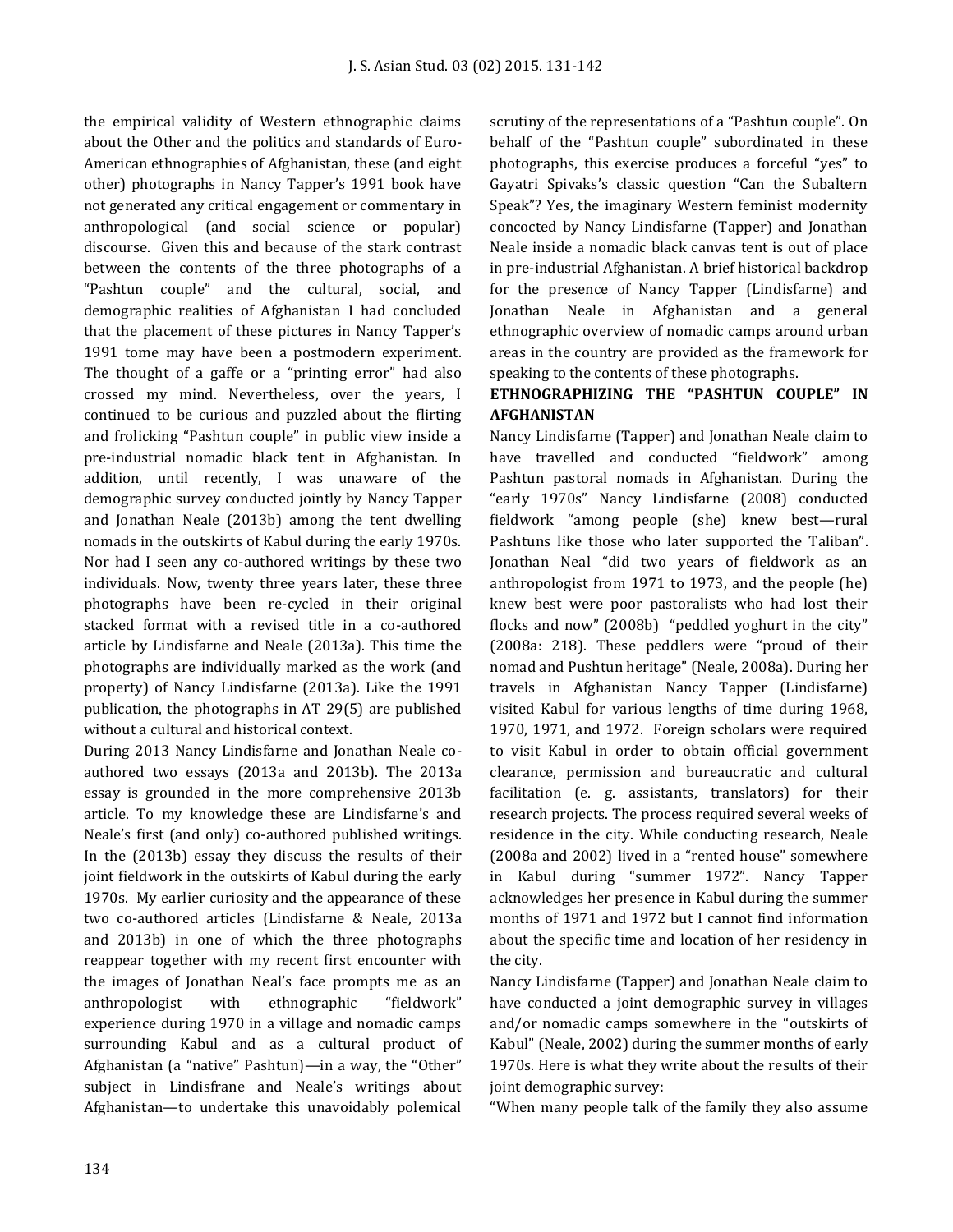the empirical validity of Western ethnographic claims about the Other and the politics and standards of Euro-American ethnographies of Afghanistan, these (and eight other) photographs in Nancy Tapper's 1991 book have not generated any critical engagement or commentary in anthropological (and social science or popular) discourse. Given this and because of the stark contrast between the contents of the three photographs of a "Pashtun couple" and the cultural, social, and demographic realities of Afghanistan I had concluded that the placement of these pictures in Nancy Tapper's 1991 tome may have been a postmodern experiment. The thought of a gaffe or a "printing error" had also crossed my mind. Nevertheless, over the years, I continued to be curious and puzzled about the flirting and frolicking "Pashtun couple" in public view inside a pre-industrial nomadic black tent in Afghanistan. In addition, until recently, I was unaware of the demographic survey conducted jointly by Nancy Tapper and Jonathan Neale (2013b) among the tent dwelling nomads in the outskirts of Kabul during the early 1970s. Nor had I seen any co-authored writings by these two individuals. Now, twenty three years later, these three photographs have been re-cycled in their original stacked format with a revised title in a co-authored article by Lindisfarne and Neale (2013a). This time the photographs are individually marked as the work (and property) of Nancy Lindisfarne (2013a). Like the 1991 publication, the photographs in AT 29(5) are published without a cultural and historical context.

During 2013 Nancy Lindisfarne and Jonathan Neale coauthored two essays (2013a and 2013b). The 2013a essay is grounded in the more comprehensive 2013b article. To my knowledge these are Lindisfarne's and Neale's first (and only) co-authored published writings. In the (2013b) essay they discuss the results of their joint fieldwork in the outskirts of Kabul during the early 1970s. My earlier curiosity and the appearance of these two co-authored articles (Lindisfarne & Neale, 2013a and 2013b) in one of which the three photographs reappear together with my recent first encounter with the images of Jonathan Neal's face prompts me as an anthropologist with ethnographic "fieldwork" experience during 1970 in a village and nomadic camps surrounding Kabul and as a cultural product of Afghanistan (a "native" Pashtun)—in a way, the "Other" subject in Lindisfrane and Neale's writings about Afghanistan—to undertake this unavoidably polemical

scrutiny of the representations of a "Pashtun couple". On behalf of the "Pashtun couple" subordinated in these photographs, this exercise produces a forceful "yes" to Gayatri Spivaks's classic question "Can the Subaltern Speak"? Yes, the imaginary Western feminist modernity concocted by Nancy Lindisfarne (Tapper) and Jonathan Neale inside a nomadic black canvas tent is out of place in pre-industrial Afghanistan. A brief historical backdrop for the presence of Nancy Tapper (Lindisfarne) and Jonathan Neale in Afghanistan and a general ethnographic overview of nomadic camps around urban areas in the country are provided as the framework for speaking to the contents of these photographs.

# **ETHNOGRAPHIZING THE "PASHTUN COUPLE" IN AFGHANISTAN**

Nancy Lindisfarne (Tapper) and Jonathan Neale claim to have travelled and conducted "fieldwork" among Pashtun pastoral nomads in Afghanistan. During the "early 1970s" Nancy Lindisfarne (2008) conducted fieldwork "among people (she) knew best—rural Pashtuns like those who later supported the Taliban". Jonathan Neal "did two years of fieldwork as an anthropologist from 1971 to 1973, and the people (he) knew best were poor pastoralists who had lost their flocks and now" (2008b) "peddled yoghurt in the city" (2008a: 218). These peddlers were "proud of their nomad and Pushtun heritage" (Neale, 2008a). During her travels in Afghanistan Nancy Tapper (Lindisfarne) visited Kabul for various lengths of time during 1968, 1970, 1971, and 1972. Foreign scholars were required to visit Kabul in order to obtain official government clearance, permission and bureaucratic and cultural facilitation (e. g. assistants, translators) for their research projects. The process required several weeks of residence in the city. While conducting research, Neale (2008a and 2002) lived in a "rented house" somewhere in Kabul during "summer 1972". Nancy Tapper acknowledges her presence in Kabul during the summer months of 1971 and 1972 but I cannot find information about the specific time and location of her residency in the city.

Nancy Lindisfarne (Tapper) and Jonathan Neale claim to have conducted a joint demographic survey in villages and/or nomadic camps somewhere in the "outskirts of Kabul" (Neale, 2002) during the summer months of early 1970s. Here is what they write about the results of their joint demographic survey:

"When many people talk of the family they also assume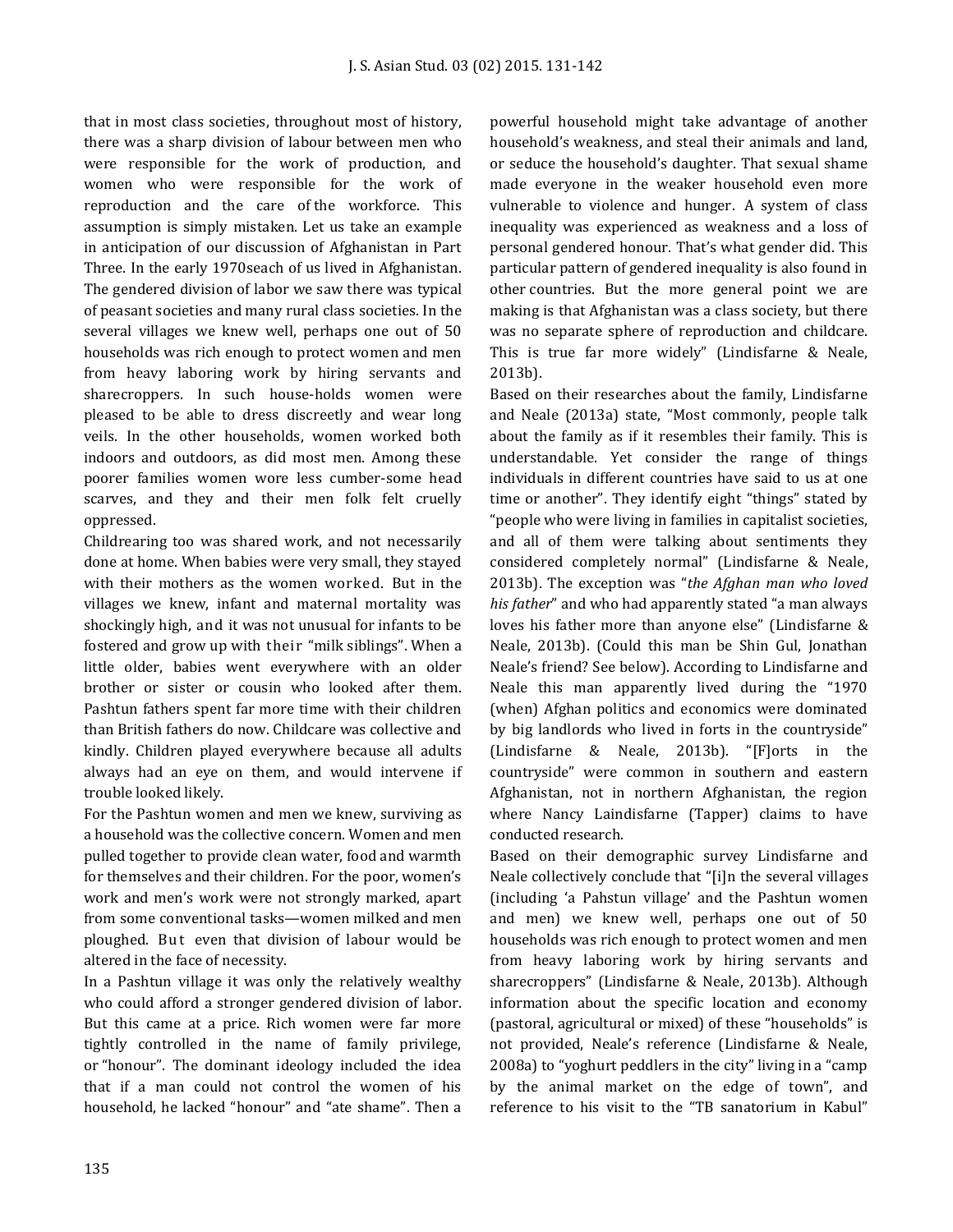that in most class societies, throughout most of history, there was a sharp division of labour between men who were responsible for the work of production, and women who were responsible for the work of reproduction and the care of the workforce. This assumption is simply mistaken. Let us take an example in anticipation of our discussion of Afghanistan in Part Three. In the early 1970seach of us lived in Afghanistan. The gendered division of labor we saw there was typical of peasant societies and many rural class societies. In the several villages we knew well, perhaps one out of 50 households was rich enough to protect women and men from heavy laboring work by hiring servants and sharecroppers. In such house-holds women were pleased to be able to dress discreetly and wear long veils. In the other households, women worked both indoors and outdoors, as did most men. Among these poorer families women wore less cumber-some head scarves, and they and their men folk felt cruelly oppressed.

Childrearing too was shared work, and not necessarily done at home. When babies were very small, they stayed with their mothers as the women worked. But in the villages we knew, infant and maternal mortality was shockingly high, and it was not unusual for infants to be fostered and grow up with their "milk siblings". When a little older, babies went everywhere with an older brother or sister or cousin who looked after them. Pashtun fathers spent far more time with their children than British fathers do now. Childcare was collective and kindly. Children played everywhere because all adults always had an eye on them, and would intervene if trouble looked likely.

For the Pashtun women and men we knew, surviving as a household was the collective concern. Women and men pulled together to provide clean water, food and warmth for themselves and their children. For the poor, women's work and men's work were not strongly marked, apart from some conventional tasks—women milked and men ploughed. But even that division of labour would be altered in the face of necessity.

In a Pashtun village it was only the relatively wealthy who could afford a stronger gendered division of labor. But this came at a price. Rich women were far more tightly controlled in the name of family privilege, or "honour". The dominant ideology included the idea that if a man could not control the women of his household, he lacked "honour" and "ate shame". Then a powerful household might take advantage of another household's weakness, and steal their animals and land, or seduce the household's daughter. That sexual shame made everyone in the weaker household even more vulnerable to violence and hunger. A system of class inequality was experienced as weakness and a loss of personal gendered honour. That's what gender did. This particular pattern of gendered inequality is also found in other countries. But the more general point we are making is that Afghanistan was a class society, but there was no separate sphere of reproduction and childcare. This is true far more widely" (Lindisfarne & Neale, 2013b).

Based on their researches about the family, Lindisfarne and Neale (2013a) state, "Most commonly, people talk about the family as if it resembles their family. This is understandable. Yet consider the range of things individuals in different countries have said to us at one time or another". They identify eight "things" stated by "people who were living in families in capitalist societies, and all of them were talking about sentiments they considered completely normal" (Lindisfarne & Neale, 2013b). The exception was "*the Afghan man who loved his father*" and who had apparently stated "a man always loves his father more than anyone else" (Lindisfarne & Neale, 2013b). (Could this man be Shin Gul, Jonathan Neale's friend? See below). According to Lindisfarne and Neale this man apparently lived during the "1970 (when) Afghan politics and economics were dominated by big landlords who lived in forts in the countryside" (Lindisfarne & Neale, 2013b). "[F]orts in the countryside" were common in southern and eastern Afghanistan, not in northern Afghanistan, the region where Nancy Laindisfarne (Tapper) claims to have conducted research.

Based on their demographic survey Lindisfarne and Neale collectively conclude that "[i]n the several villages (including 'a Pahstun village' and the Pashtun women and men) we knew well, perhaps one out of 50 households was rich enough to protect women and men from heavy laboring work by hiring servants and sharecroppers" (Lindisfarne & Neale, 2013b). Although information about the specific location and economy (pastoral, agricultural or mixed) of these "households" is not provided, Neale's reference (Lindisfarne & Neale, 2008a) to "yoghurt peddlers in the city" living in a "camp by the animal market on the edge of town", and reference to his visit to the "TB sanatorium in Kabul"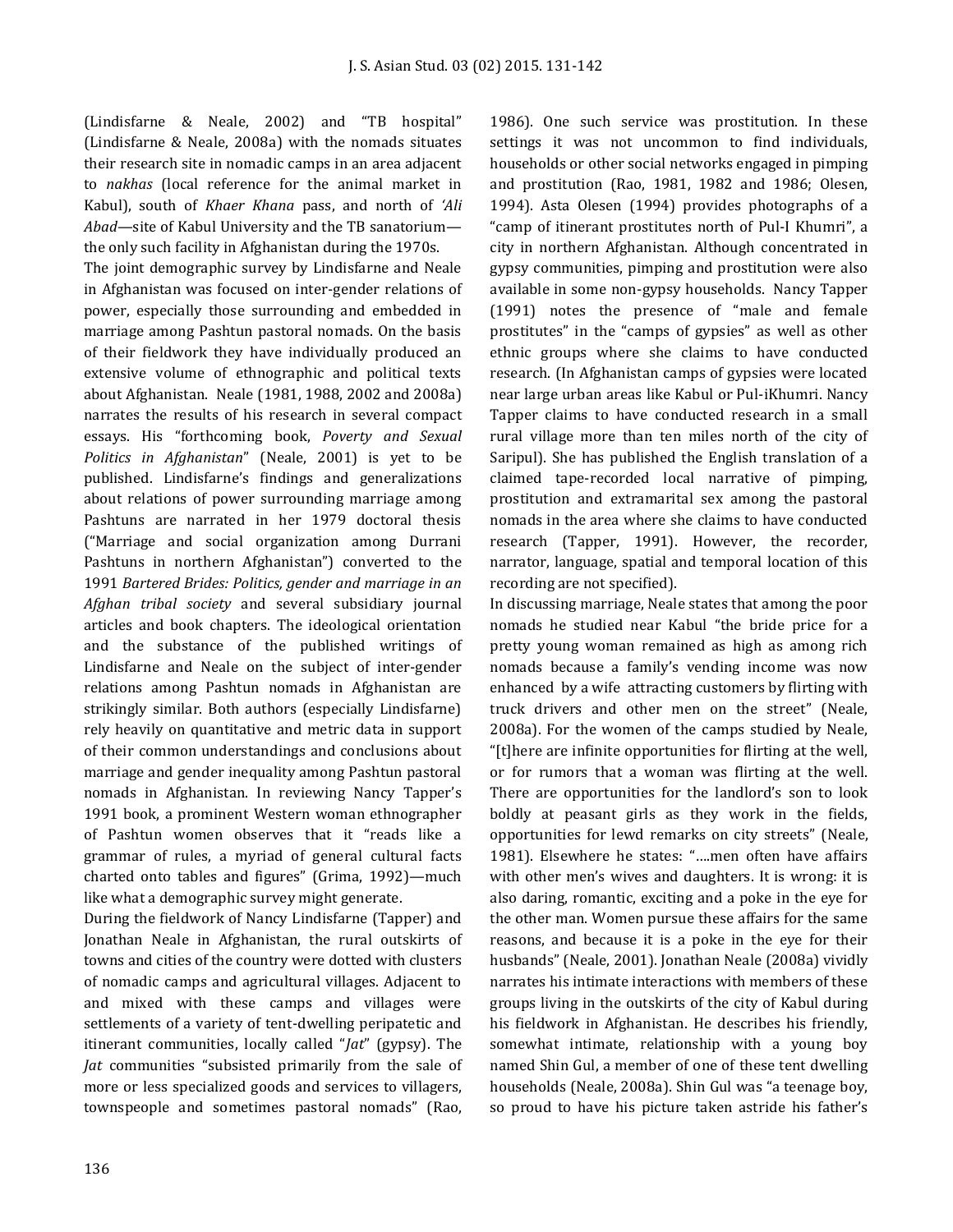(Lindisfarne & Neale, 2002) and "TB hospital" (Lindisfarne & Neale, 2008a) with the nomads situates their research site in nomadic camps in an area adjacent to *nakhas* (local reference for the animal market in Kabul), south of *Khaer Khana* pass, and north of *'Ali Abad*—site of Kabul University and the TB sanatorium the only such facility in Afghanistan during the 1970s.

The joint demographic survey by Lindisfarne and Neale in Afghanistan was focused on inter-gender relations of power, especially those surrounding and embedded in marriage among Pashtun pastoral nomads. On the basis of their fieldwork they have individually produced an extensive volume of ethnographic and political texts about Afghanistan. Neale (1981, 1988, 2002 and 2008a) narrates the results of his research in several compact essays. His "forthcoming book, *Poverty and Sexual Politics in Afghanistan*" (Neale, 2001) is yet to be published. Lindisfarne's findings and generalizations about relations of power surrounding marriage among Pashtuns are narrated in her 1979 doctoral thesis ("Marriage and social organization among Durrani Pashtuns in northern Afghanistan") converted to the 1991 *Bartered Brides: Politics, gender and marriage in an Afghan tribal society* and several subsidiary journal articles and book chapters. The ideological orientation and the substance of the published writings of Lindisfarne and Neale on the subject of inter-gender relations among Pashtun nomads in Afghanistan are strikingly similar. Both authors (especially Lindisfarne) rely heavily on quantitative and metric data in support of their common understandings and conclusions about marriage and gender inequality among Pashtun pastoral nomads in Afghanistan. In reviewing Nancy Tapper's 1991 book, a prominent Western woman ethnographer of Pashtun women observes that it "reads like a grammar of rules, a myriad of general cultural facts charted onto tables and figures" (Grima, 1992)—much like what a demographic survey might generate.

During the fieldwork of Nancy Lindisfarne (Tapper) and Jonathan Neale in Afghanistan, the rural outskirts of towns and cities of the country were dotted with clusters of nomadic camps and agricultural villages. Adjacent to and mixed with these camps and villages were settlements of a variety of tent-dwelling peripatetic and itinerant communities, locally called "*Jat*" (gypsy). The *Jat* communities "subsisted primarily from the sale of more or less specialized goods and services to villagers, townspeople and sometimes pastoral nomads" (Rao,

1986). One such service was prostitution. In these settings it was not uncommon to find individuals, households or other social networks engaged in pimping and prostitution (Rao, 1981, 1982 and 1986; Olesen, 1994). Asta Olesen (1994) provides photographs of a "camp of itinerant prostitutes north of Pul-I Khumri", a city in northern Afghanistan. Although concentrated in gypsy communities, pimping and prostitution were also available in some non-gypsy households. Nancy Tapper (1991) notes the presence of "male and female prostitutes" in the "camps of gypsies" as well as other ethnic groups where she claims to have conducted research. (In Afghanistan camps of gypsies were located near large urban areas like Kabul or Pul-iKhumri. Nancy Tapper claims to have conducted research in a small rural village more than ten miles north of the city of Saripul). She has published the English translation of a claimed tape-recorded local narrative of pimping, prostitution and extramarital sex among the pastoral nomads in the area where she claims to have conducted research (Tapper, 1991). However, the recorder, narrator, language, spatial and temporal location of this recording are not specified).

In discussing marriage, Neale states that among the poor nomads he studied near Kabul "the bride price for a pretty young woman remained as high as among rich nomads because a family's vending income was now enhanced by a wife attracting customers by flirting with truck drivers and other men on the street" (Neale, 2008a). For the women of the camps studied by Neale, "[t]here are infinite opportunities for flirting at the well, or for rumors that a woman was flirting at the well. There are opportunities for the landlord's son to look boldly at peasant girls as they work in the fields, opportunities for lewd remarks on city streets" (Neale, 1981). Elsewhere he states: "….men often have affairs with other men's wives and daughters. It is wrong: it is also daring, romantic, exciting and a poke in the eye for the other man. Women pursue these affairs for the same reasons, and because it is a poke in the eye for their husbands" (Neale, 2001). Jonathan Neale (2008a) vividly narrates his intimate interactions with members of these groups living in the outskirts of the city of Kabul during his fieldwork in Afghanistan. He describes his friendly, somewhat intimate, relationship with a young boy named Shin Gul, a member of one of these tent dwelling households (Neale, 2008a). Shin Gul was "a teenage boy, so proud to have his picture taken astride his father's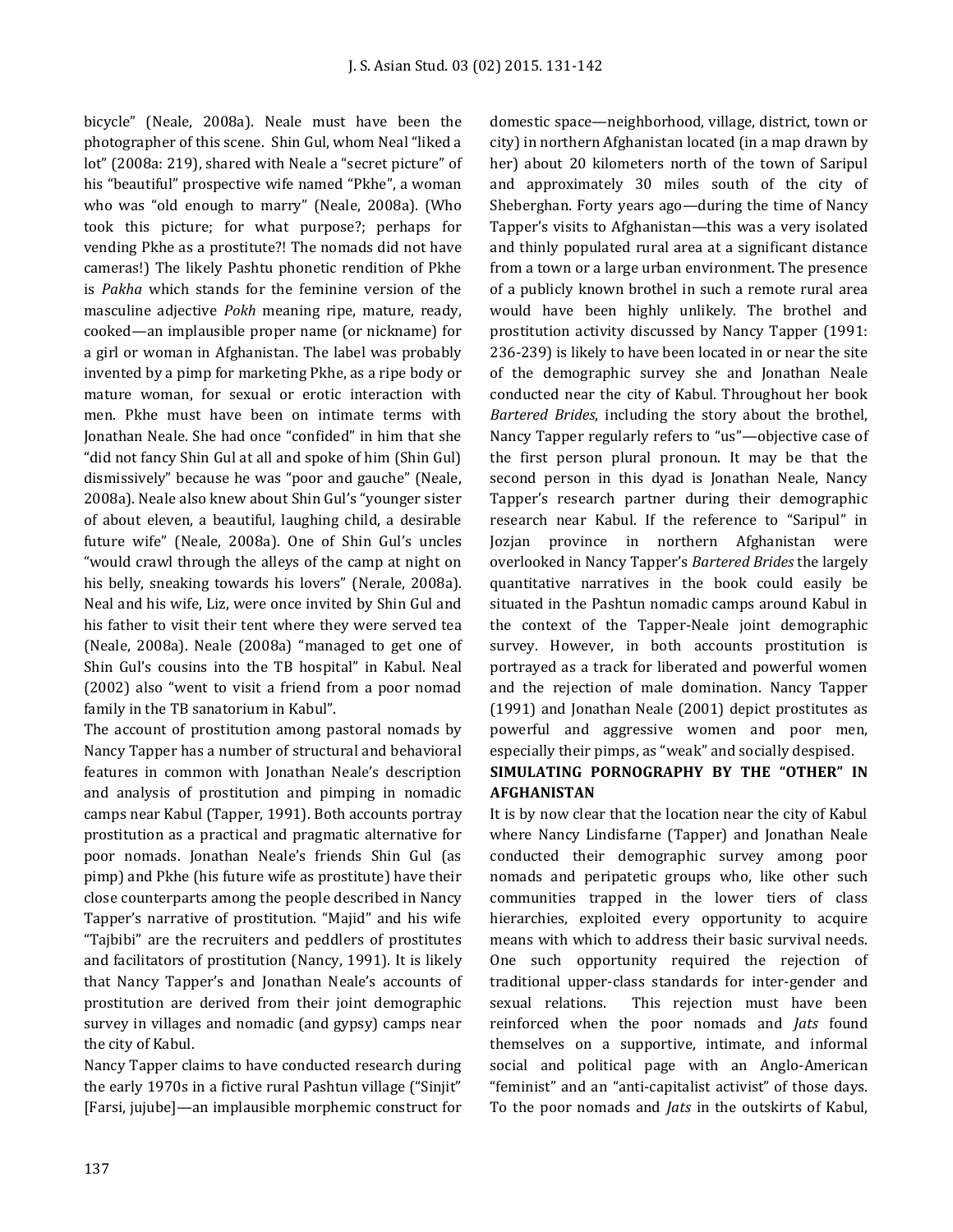bicycle" (Neale, 2008a). Neale must have been the photographer of this scene. Shin Gul, whom Neal "liked a lot" (2008a: 219), shared with Neale a "secret picture" of his "beautiful" prospective wife named "Pkhe", a woman who was "old enough to marry" (Neale, 2008a). (Who took this picture; for what purpose?; perhaps for vending Pkhe as a prostitute?! The nomads did not have cameras!) The likely Pashtu phonetic rendition of Pkhe is *Pakha* which stands for the feminine version of the masculine adjective *Pokh* meaning ripe, mature, ready, cooked—an implausible proper name (or nickname) for a girl or woman in Afghanistan. The label was probably invented by a pimp for marketing Pkhe, as a ripe body or mature woman, for sexual or erotic interaction with men. Pkhe must have been on intimate terms with Jonathan Neale. She had once "confided" in him that she "did not fancy Shin Gul at all and spoke of him (Shin Gul) dismissively" because he was "poor and gauche" (Neale, 2008a). Neale also knew about Shin Gul's "younger sister of about eleven, a beautiful, laughing child, a desirable future wife" (Neale, 2008a). One of Shin Gul's uncles "would crawl through the alleys of the camp at night on his belly, sneaking towards his lovers" (Nerale, 2008a). Neal and his wife, Liz, were once invited by Shin Gul and his father to visit their tent where they were served tea (Neale, 2008a). Neale (2008a) "managed to get one of Shin Gul's cousins into the TB hospital" in Kabul. Neal (2002) also "went to visit a friend from a poor nomad family in the TB sanatorium in Kabul".

The account of prostitution among pastoral nomads by Nancy Tapper has a number of structural and behavioral features in common with Jonathan Neale's description and analysis of prostitution and pimping in nomadic camps near Kabul (Tapper, 1991). Both accounts portray prostitution as a practical and pragmatic alternative for poor nomads. Jonathan Neale's friends Shin Gul (as pimp) and Pkhe (his future wife as prostitute) have their close counterparts among the people described in Nancy Tapper's narrative of prostitution. "Majid" and his wife "Tajbibi" are the recruiters and peddlers of prostitutes and facilitators of prostitution (Nancy, 1991). It is likely that Nancy Tapper's and Jonathan Neale's accounts of prostitution are derived from their joint demographic survey in villages and nomadic (and gypsy) camps near the city of Kabul.

Nancy Tapper claims to have conducted research during the early 1970s in a fictive rural Pashtun village ("Sinjit" [Farsi, jujube]—an implausible morphemic construct for domestic space—neighborhood, village, district, town or city) in northern Afghanistan located (in a map drawn by her) about 20 kilometers north of the town of Saripul and approximately 30 miles south of the city of Sheberghan. Forty years ago—during the time of Nancy Tapper's visits to Afghanistan—this was a very isolated and thinly populated rural area at a significant distance from a town or a large urban environment. The presence of a publicly known brothel in such a remote rural area would have been highly unlikely. The brothel and prostitution activity discussed by Nancy Tapper (1991: 236-239) is likely to have been located in or near the site of the demographic survey she and Jonathan Neale conducted near the city of Kabul. Throughout her book *Bartered Brides*, including the story about the brothel, Nancy Tapper regularly refers to "us"—objective case of the first person plural pronoun. It may be that the second person in this dyad is Jonathan Neale, Nancy Tapper's research partner during their demographic research near Kabul. If the reference to "Saripul" in Jozjan province in northern Afghanistan were overlooked in Nancy Tapper's *Bartered Brides* the largely quantitative narratives in the book could easily be situated in the Pashtun nomadic camps around Kabul in the context of the Tapper-Neale joint demographic survey. However, in both accounts prostitution is portrayed as a track for liberated and powerful women and the rejection of male domination. Nancy Tapper (1991) and Jonathan Neale (2001) depict prostitutes as powerful and aggressive women and poor men, especially their pimps, as "weak" and socially despised.

### **SIMULATING PORNOGRAPHY BY THE "OTHER" IN AFGHANISTAN**

It is by now clear that the location near the city of Kabul where Nancy Lindisfarne (Tapper) and Jonathan Neale conducted their demographic survey among poor nomads and peripatetic groups who, like other such communities trapped in the lower tiers of class hierarchies, exploited every opportunity to acquire means with which to address their basic survival needs. One such opportunity required the rejection of traditional upper-class standards for inter-gender and sexual relations. This rejection must have been reinforced when the poor nomads and *Jats* found themselves on a supportive, intimate, and informal social and political page with an Anglo-American "feminist" and an "anti-capitalist activist" of those days. To the poor nomads and *Jats* in the outskirts of Kabul,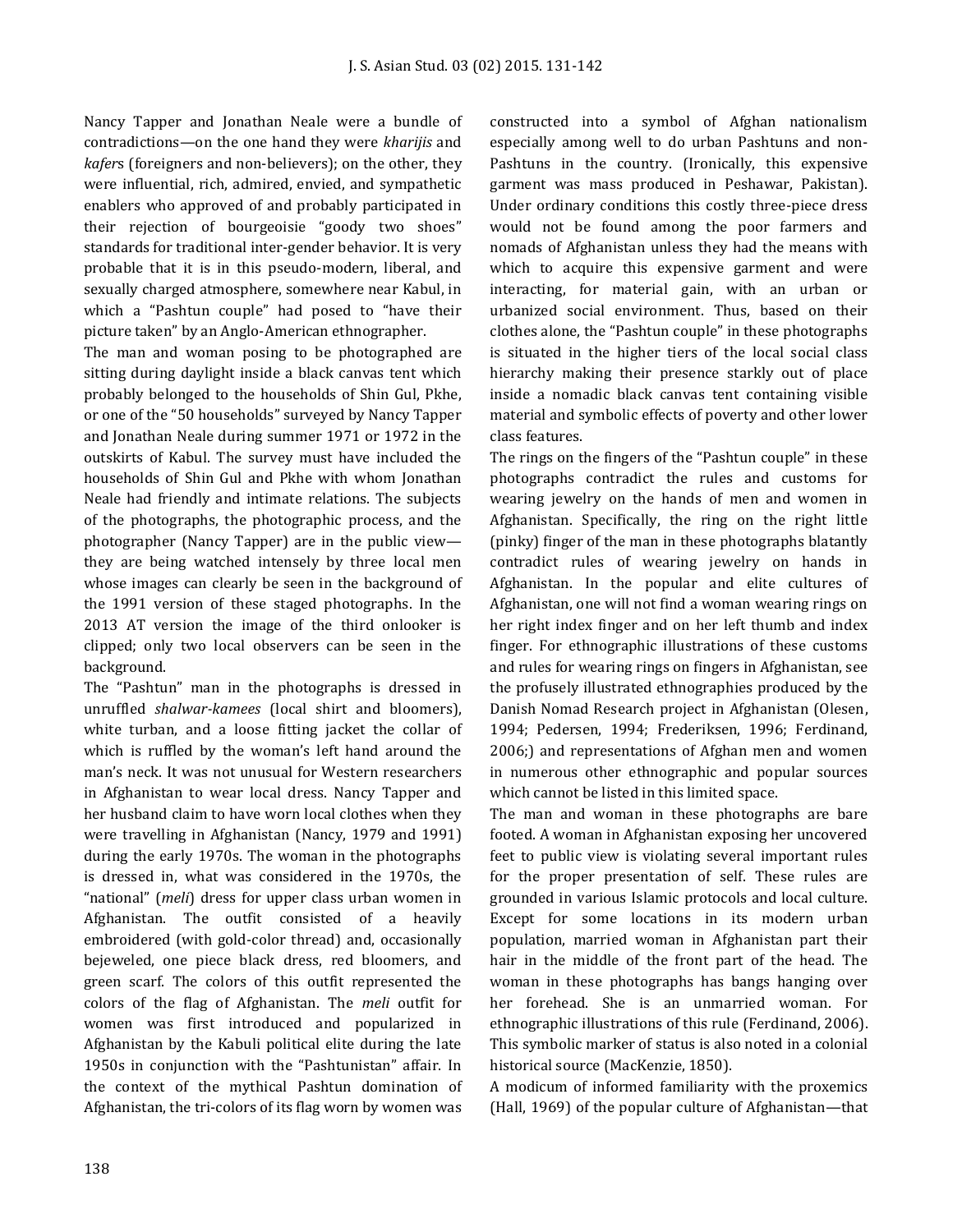Nancy Tapper and Jonathan Neale were a bundle of contradictions—on the one hand they were *kharijis* and *kafer*s (foreigners and non-believers); on the other, they were influential, rich, admired, envied, and sympathetic enablers who approved of and probably participated in their rejection of bourgeoisie "goody two shoes" standards for traditional inter-gender behavior. It is very probable that it is in this pseudo-modern, liberal, and sexually charged atmosphere, somewhere near Kabul, in which a "Pashtun couple" had posed to "have their picture taken" by an Anglo-American ethnographer.

The man and woman posing to be photographed are sitting during daylight inside a black canvas tent which probably belonged to the households of Shin Gul, Pkhe, or one of the "50 households" surveyed by Nancy Tapper and Jonathan Neale during summer 1971 or 1972 in the outskirts of Kabul. The survey must have included the households of Shin Gul and Pkhe with whom Jonathan Neale had friendly and intimate relations. The subjects of the photographs, the photographic process, and the photographer (Nancy Tapper) are in the public view they are being watched intensely by three local men whose images can clearly be seen in the background of the 1991 version of these staged photographs. In the 2013 AT version the image of the third onlooker is clipped; only two local observers can be seen in the background.

The "Pashtun" man in the photographs is dressed in unruffled *shalwar-kamees* (local shirt and bloomers), white turban, and a loose fitting jacket the collar of which is ruffled by the woman's left hand around the man's neck. It was not unusual for Western researchers in Afghanistan to wear local dress. Nancy Tapper and her husband claim to have worn local clothes when they were travelling in Afghanistan (Nancy, 1979 and 1991) during the early 1970s. The woman in the photographs is dressed in, what was considered in the 1970s, the "national" (*meli*) dress for upper class urban women in Afghanistan. The outfit consisted of a heavily embroidered (with gold-color thread) and, occasionally bejeweled, one piece black dress, red bloomers, and green scarf. The colors of this outfit represented the colors of the flag of Afghanistan. The *meli* outfit for women was first introduced and popularized in Afghanistan by the Kabuli political elite during the late 1950s in conjunction with the "Pashtunistan" affair. In the context of the mythical Pashtun domination of Afghanistan, the tri-colors of its flag worn by women was

constructed into a symbol of Afghan nationalism especially among well to do urban Pashtuns and non-Pashtuns in the country. (Ironically, this expensive garment was mass produced in Peshawar, Pakistan). Under ordinary conditions this costly three-piece dress would not be found among the poor farmers and nomads of Afghanistan unless they had the means with which to acquire this expensive garment and were interacting, for material gain, with an urban or urbanized social environment. Thus, based on their clothes alone, the "Pashtun couple" in these photographs is situated in the higher tiers of the local social class hierarchy making their presence starkly out of place inside a nomadic black canvas tent containing visible material and symbolic effects of poverty and other lower class features.

The rings on the fingers of the "Pashtun couple" in these photographs contradict the rules and customs for wearing jewelry on the hands of men and women in Afghanistan. Specifically, the ring on the right little (pinky) finger of the man in these photographs blatantly contradict rules of wearing jewelry on hands in Afghanistan. In the popular and elite cultures of Afghanistan, one will not find a woman wearing rings on her right index finger and on her left thumb and index finger. For ethnographic illustrations of these customs and rules for wearing rings on fingers in Afghanistan, see the profusely illustrated ethnographies produced by the Danish Nomad Research project in Afghanistan (Olesen, 1994; Pedersen, 1994; Frederiksen, 1996; Ferdinand, 2006;) and representations of Afghan men and women in numerous other ethnographic and popular sources which cannot be listed in this limited space.

The man and woman in these photographs are bare footed. A woman in Afghanistan exposing her uncovered feet to public view is violating several important rules for the proper presentation of self. These rules are grounded in various Islamic protocols and local culture. Except for some locations in its modern urban population, married woman in Afghanistan part their hair in the middle of the front part of the head. The woman in these photographs has bangs hanging over her forehead. She is an unmarried woman. For ethnographic illustrations of this rule (Ferdinand, 2006). This symbolic marker of status is also noted in a colonial historical source (MacKenzie, 1850).

A modicum of informed familiarity with the proxemics (Hall, 1969) of the popular culture of Afghanistan—that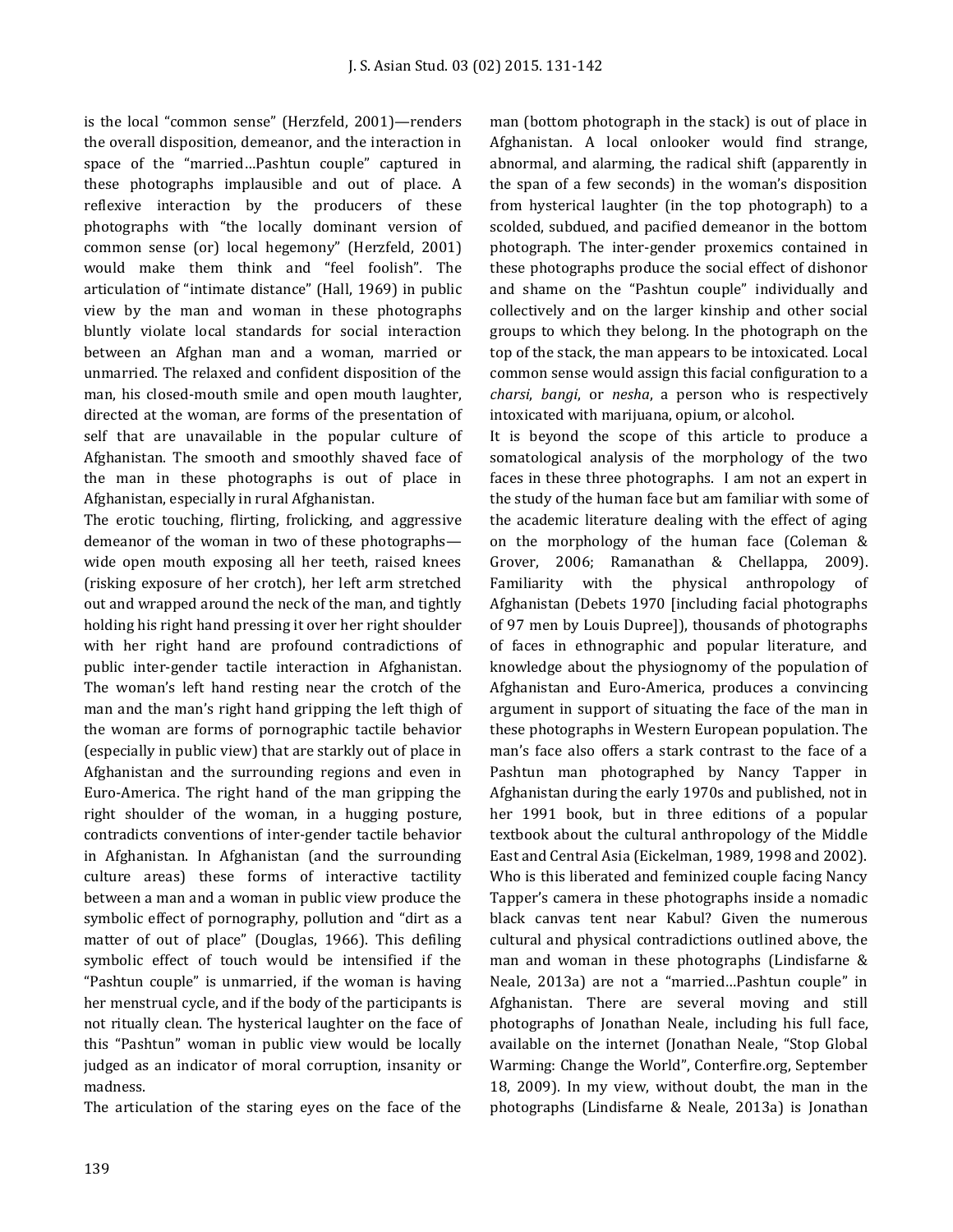is the local "common sense" (Herzfeld, 2001)—renders the overall disposition, demeanor, and the interaction in space of the "married…Pashtun couple" captured in these photographs implausible and out of place. A reflexive interaction by the producers of these photographs with "the locally dominant version of common sense (or) local hegemony" (Herzfeld, 2001) would make them think and "feel foolish". The articulation of "intimate distance" (Hall, 1969) in public view by the man and woman in these photographs bluntly violate local standards for social interaction between an Afghan man and a woman, married or unmarried. The relaxed and confident disposition of the man, his closed-mouth smile and open mouth laughter, directed at the woman, are forms of the presentation of self that are unavailable in the popular culture of Afghanistan. The smooth and smoothly shaved face of the man in these photographs is out of place in Afghanistan, especially in rural Afghanistan.

The erotic touching, flirting, frolicking, and aggressive demeanor of the woman in two of these photographs wide open mouth exposing all her teeth, raised knees (risking exposure of her crotch), her left arm stretched out and wrapped around the neck of the man, and tightly holding his right hand pressing it over her right shoulder with her right hand are profound contradictions of public inter-gender tactile interaction in Afghanistan. The woman's left hand resting near the crotch of the man and the man's right hand gripping the left thigh of the woman are forms of pornographic tactile behavior (especially in public view) that are starkly out of place in Afghanistan and the surrounding regions and even in Euro-America. The right hand of the man gripping the right shoulder of the woman, in a hugging posture, contradicts conventions of inter-gender tactile behavior in Afghanistan. In Afghanistan (and the surrounding culture areas) these forms of interactive tactility between a man and a woman in public view produce the symbolic effect of pornography, pollution and "dirt as a matter of out of place" (Douglas, 1966). This defiling symbolic effect of touch would be intensified if the "Pashtun couple" is unmarried, if the woman is having her menstrual cycle, and if the body of the participants is not ritually clean. The hysterical laughter on the face of this "Pashtun" woman in public view would be locally judged as an indicator of moral corruption, insanity or madness.

The articulation of the staring eyes on the face of the

man (bottom photograph in the stack) is out of place in Afghanistan. A local onlooker would find strange, abnormal, and alarming, the radical shift (apparently in the span of a few seconds) in the woman's disposition from hysterical laughter (in the top photograph) to a scolded, subdued, and pacified demeanor in the bottom photograph. The inter-gender proxemics contained in these photographs produce the social effect of dishonor and shame on the "Pashtun couple" individually and collectively and on the larger kinship and other social groups to which they belong. In the photograph on the top of the stack, the man appears to be intoxicated. Local common sense would assign this facial configuration to a *charsi*, *bangi*, or *nesha*, a person who is respectively intoxicated with marijuana, opium, or alcohol.

It is beyond the scope of this article to produce a somatological analysis of the morphology of the two faces in these three photographs. I am not an expert in the study of the human face but am familiar with some of the academic literature dealing with the effect of aging on the morphology of the human face (Coleman & Grover, 2006; Ramanathan & Chellappa, 2009). Familiarity with the physical anthropology of Afghanistan (Debets 1970 [including facial photographs of 97 men by Louis Dupree]), thousands of photographs of faces in ethnographic and popular literature, and knowledge about the physiognomy of the population of Afghanistan and Euro-America, produces a convincing argument in support of situating the face of the man in these photographs in Western European population. The man's face also offers a stark contrast to the face of a Pashtun man photographed by Nancy Tapper in Afghanistan during the early 1970s and published, not in her 1991 book, but in three editions of a popular textbook about the cultural anthropology of the Middle East and Central Asia (Eickelman, 1989, 1998 and 2002). Who is this liberated and feminized couple facing Nancy Tapper's camera in these photographs inside a nomadic black canvas tent near Kabul? Given the numerous cultural and physical contradictions outlined above, the man and woman in these photographs (Lindisfarne & Neale, 2013a) are not a "married…Pashtun couple" in Afghanistan. There are several moving and still photographs of Jonathan Neale, including his full face, available on the internet (Jonathan Neale, "Stop Global Warming: Change the World", Conterfire.org, September 18, 2009). In my view, without doubt, the man in the photographs (Lindisfarne & Neale, 2013a) is Jonathan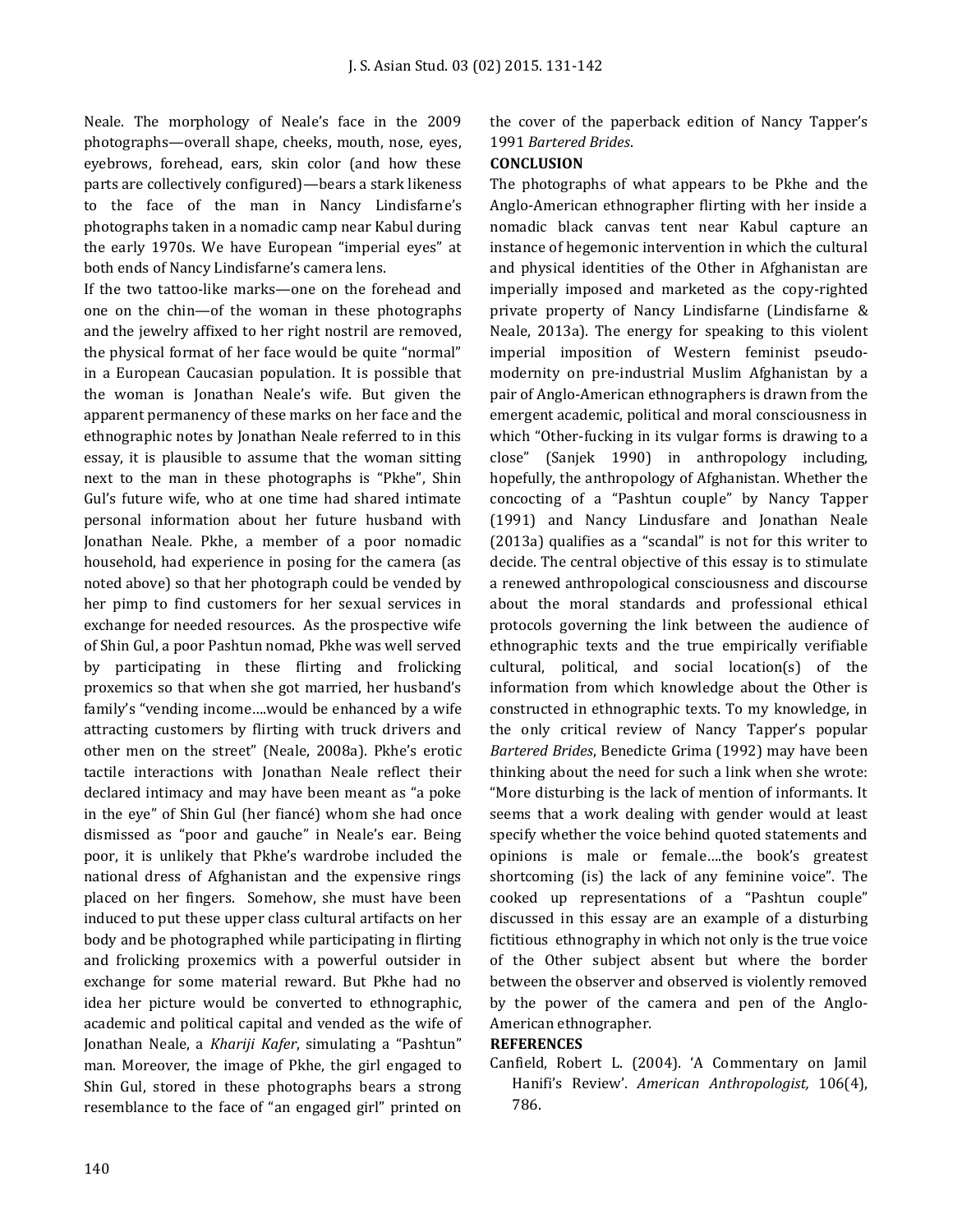Neale. The morphology of Neale's face in the 2009 photographs—overall shape, cheeks, mouth, nose, eyes, eyebrows, forehead, ears, skin color (and how these parts are collectively configured)—bears a stark likeness to the face of the man in Nancy Lindisfarne's photographs taken in a nomadic camp near Kabul during the early 1970s. We have European "imperial eyes" at both ends of Nancy Lindisfarne's camera lens.

If the two tattoo-like marks—one on the forehead and one on the chin—of the woman in these photographs and the jewelry affixed to her right nostril are removed, the physical format of her face would be quite "normal" in a European Caucasian population. It is possible that the woman is Jonathan Neale's wife. But given the apparent permanency of these marks on her face and the ethnographic notes by Jonathan Neale referred to in this essay, it is plausible to assume that the woman sitting next to the man in these photographs is "Pkhe", Shin Gul's future wife, who at one time had shared intimate personal information about her future husband with Jonathan Neale. Pkhe, a member of a poor nomadic household, had experience in posing for the camera (as noted above) so that her photograph could be vended by her pimp to find customers for her sexual services in exchange for needed resources. As the prospective wife of Shin Gul, a poor Pashtun nomad, Pkhe was well served by participating in these flirting and frolicking proxemics so that when she got married, her husband's family's "vending income….would be enhanced by a wife attracting customers by flirting with truck drivers and other men on the street" (Neale, 2008a). Pkhe's erotic tactile interactions with Jonathan Neale reflect their declared intimacy and may have been meant as "a poke in the eye" of Shin Gul (her fiancé) whom she had once dismissed as "poor and gauche" in Neale's ear. Being poor, it is unlikely that Pkhe's wardrobe included the national dress of Afghanistan and the expensive rings placed on her fingers. Somehow, she must have been induced to put these upper class cultural artifacts on her body and be photographed while participating in flirting and frolicking proxemics with a powerful outsider in exchange for some material reward. But Pkhe had no idea her picture would be converted to ethnographic, academic and political capital and vended as the wife of Jonathan Neale, a *Khariji Kafer*, simulating a "Pashtun" man. Moreover, the image of Pkhe, the girl engaged to Shin Gul, stored in these photographs bears a strong resemblance to the face of "an engaged girl" printed on the cover of the paperback edition of Nancy Tapper's 1991 *Bartered Brides*.

#### **CONCLUSION**

The photographs of what appears to be Pkhe and the Anglo-American ethnographer flirting with her inside a nomadic black canvas tent near Kabul capture an instance of hegemonic intervention in which the cultural and physical identities of the Other in Afghanistan are imperially imposed and marketed as the copy-righted private property of Nancy Lindisfarne (Lindisfarne & Neale, 2013a). The energy for speaking to this violent imperial imposition of Western feminist pseudomodernity on pre-industrial Muslim Afghanistan by a pair of Anglo-American ethnographers is drawn from the emergent academic, political and moral consciousness in which "Other-fucking in its vulgar forms is drawing to a close" (Sanjek 1990) in anthropology including, hopefully, the anthropology of Afghanistan. Whether the concocting of a "Pashtun couple" by Nancy Tapper (1991) and Nancy Lindusfare and Jonathan Neale (2013a) qualifies as a "scandal" is not for this writer to decide. The central objective of this essay is to stimulate a renewed anthropological consciousness and discourse about the moral standards and professional ethical protocols governing the link between the audience of ethnographic texts and the true empirically verifiable cultural, political, and social location(s) of the information from which knowledge about the Other is constructed in ethnographic texts. To my knowledge, in the only critical review of Nancy Tapper's popular *Bartered Brides*, Benedicte Grima (1992) may have been thinking about the need for such a link when she wrote: "More disturbing is the lack of mention of informants. It seems that a work dealing with gender would at least specify whether the voice behind quoted statements and opinions is male or female….the book's greatest shortcoming (is) the lack of any feminine voice". The cooked up representations of a "Pashtun couple" discussed in this essay are an example of a disturbing fictitious ethnography in which not only is the true voice of the Other subject absent but where the border between the observer and observed is violently removed by the power of the camera and pen of the Anglo-American ethnographer.

### **REFERENCES**

Canfield, Robert L. (2004). 'A Commentary on Jamil Hanifi's Review'. *American Anthropologist,* 106(4), 786.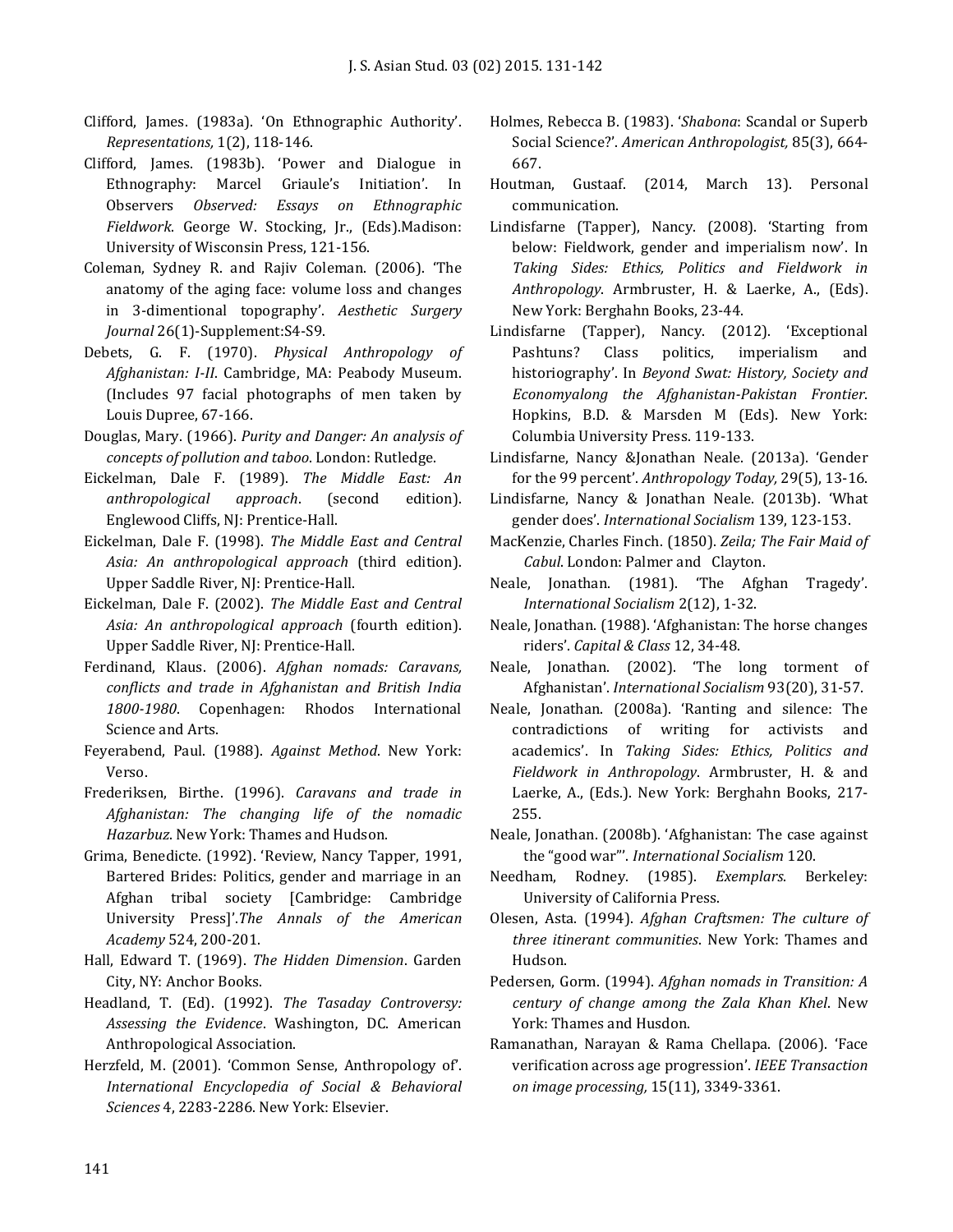- Clifford, James. (1983a). 'On Ethnographic Authority'. *Representations,* 1(2), 118-146.
- Clifford, James. (1983b). 'Power and Dialogue in Ethnography: Marcel Griaule's Initiation'. In Observers *Observed: Essays on Ethnographic Fieldwork*. George W. Stocking, Jr., (Eds).Madison: University of Wisconsin Press, 121-156.
- Coleman, Sydney R. and Rajiv Coleman. (2006). 'The anatomy of the aging face: volume loss and changes in 3-dimentional topography'. *Aesthetic Surgery Journal* 26(1)-Supplement:S4-S9.
- Debets, G. F. (1970). *Physical Anthropology of Afghanistan: I-II*. Cambridge, MA: Peabody Museum. (Includes 97 facial photographs of men taken by Louis Dupree, 67-166.
- Douglas, Mary. (1966). *Purity and Danger: An analysis of concepts of pollution and taboo*. London: Rutledge.
- Eickelman, Dale F. (1989). *The Middle East: An anthropological approach*. (second edition). Englewood Cliffs, NJ: Prentice-Hall.
- Eickelman, Dale F. (1998). *The Middle East and Central Asia: An anthropological approach* (third edition). Upper Saddle River, NJ: Prentice-Hall.
- Eickelman, Dale F. (2002). *The Middle East and Central Asia: An anthropological approach* (fourth edition). Upper Saddle River, NJ: Prentice-Hall.
- Ferdinand, Klaus. (2006). *Afghan nomads: Caravans, conflicts and trade in Afghanistan and British India 1800-1980*. Copenhagen: Rhodos International Science and Arts.
- Feyerabend, Paul. (1988). *Against Method*. New York: Verso.
- Frederiksen, Birthe. (1996). *Caravans and trade in Afghanistan: The changing life of the nomadic Hazarbuz*. New York: Thames and Hudson.
- Grima, Benedicte. (1992). 'Review, Nancy Tapper, 1991, Bartered Brides: Politics, gender and marriage in an Afghan tribal society [Cambridge: Cambridge University Press]'.*The Annals of the American Academy* 524, 200-201.
- Hall, Edward T. (1969). *The Hidden Dimension*. Garden City, NY: Anchor Books.
- Headland, T. (Ed). (1992). *The Tasaday Controversy: Assessing the Evidence*. Washington, DC. American Anthropological Association.
- Herzfeld, M. (2001). 'Common Sense, Anthropology of'. *International Encyclopedia of Social & Behavioral Sciences* 4, 2283-2286. New York: Elsevier.
- Holmes, Rebecca B. (1983). '*Shabona*: Scandal or Superb Social Science?'. *American Anthropologist,* 85(3), 664- 667.
- Houtman, Gustaaf. (2014, March 13). Personal communication.
- Lindisfarne (Tapper), Nancy. (2008). 'Starting from below: Fieldwork, gender and imperialism now'. In *Taking Sides: Ethics, Politics and Fieldwork in Anthropology*. Armbruster, H. & Laerke, A., (Eds). New York: Berghahn Books, 23-44.
- Lindisfarne (Tapper), Nancy. (2012). 'Exceptional Pashtuns? Class politics, imperialism and historiography'. In *Beyond Swat: History, Society and Economyalong the Afghanistan-Pakistan Frontier*. Hopkins, B.D. & Marsden M (Eds). New York: Columbia University Press. 119-133.
- Lindisfarne, Nancy &Jonathan Neale. (2013a). 'Gender for the 99 percent'. *Anthropology Today,* 29(5), 13-16.
- Lindisfarne, Nancy & Jonathan Neale. (2013b). 'What gender does'. *International Socialism* 139, 123-153.
- MacKenzie, Charles Finch. (1850). *Zeila; The Fair Maid of Cabul*. London: Palmer and Clayton.
- Neale, Jonathan. (1981). 'The Afghan Tragedy'. *International Socialism* 2(12), 1-32.
- Neale, Jonathan. (1988). 'Afghanistan: The horse changes riders'. *Capital & Class* 12, 34-48.
- Neale, Jonathan. (2002). 'The long torment of Afghanistan'. *International Socialism* 93(20), 31-57.
- Neale, Jonathan. (2008a). 'Ranting and silence: The contradictions of writing for activists and academics'. In *Taking Sides: Ethics, Politics and Fieldwork in Anthropology*. Armbruster, H. & and Laerke, A., (Eds.). New York: Berghahn Books, 217- 255.
- Neale, Jonathan. (2008b). 'Afghanistan: The case against the "good war"'. *International Socialism* 120.
- Needham, Rodney. (1985). *Exemplars*. Berkeley: University of California Press.
- Olesen, Asta. (1994). *Afghan Craftsmen: The culture of three itinerant communities*. New York: Thames and Hudson.
- Pedersen, Gorm. (1994). *Afghan nomads in Transition: A century of change among the Zala Khan Khel*. New York: Thames and Husdon.
- Ramanathan, Narayan & Rama Chellapa. (2006). 'Face verification across age progression'. *IEEE Transaction on image processing,* 15(11), 3349-3361.